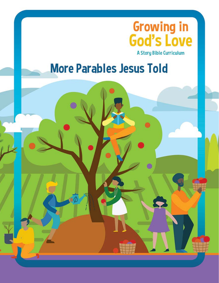

# **More Parables Jesus Told**

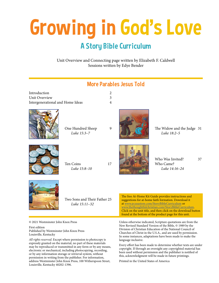# Growing in God's Love

## A Story Bible Curriculum

Unit Overview and Connecting page written by Elizabeth F. Caldwell Sessions written by Edye Bender



language inclusive. Every effort has been made to determine whether texts are under copyright. If through an oversight any copyrighted material has been used without permission and the publisher is notified of this, acknowledgment will be made in future printings.

© 2021 Westminster John Knox Press

First edition Published by Westminster John Knox Press Louisville, Kentucky

*All rights reserved*. Except where permission to photocopy is expressly granted on the material, no part of these materials may be reproduced or transmitted in any form or by any means, electronic or mechanical, including photocopying, recording, or by any information storage or retrieval system, without permission in writing from the publisher. For information, address Westminster John Knox Press, 100 Witherspoon Street, Louisville, Kentucky 40202-1396.

Printed in the United States of America

Churches of Christ in the U.S.A., and are used by permission. In some instances, adaptations have been made to make the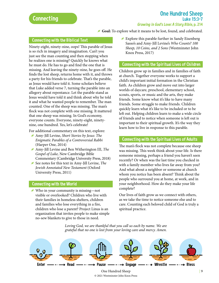## One Hundred Sheep Luke 15:3–7 Growing in God's Love: A Story Bible, p. 214

## Goal: To explore what it means to be lost, found, and celebrated.

### Connecting with the Biblical Text

Ninety-eight, ninety-nine, oops! This parable of Jesus is so rich in imagery and imagination. Can't you just see the man counting and then stopping when he realizes one is missing? Quickly he knows what he must do. He has to go and find the one that is missing. And leaving the ninety-nine, he goes off. He finds the lost sheep, returns home with it, and throws a party for his friends to celebrate. That's the parable, as Jesus would have told it. Some scholars believe that Luke added verse 7, turning the parable into an allegory about repentance. Let the parable stand as Jesus would have told it and think about why he told it and what he wanted people to remember. The man counted. One of the sheep was missing. The man's flock was not complete with one missing. It mattered that one sheep was missing. In God's economy, everyone counts. Everyone, ninety-eight, ninetynine, one hundred. Yes, let's celebrate!

For additional commentary on this text, explore:

- g Amy-Jill Levine, *Short Stories by Jesus: The Enigmatic Parables of a Controversial Rabbi* (Harper One, 2014)
- g Amy-Jill Levine and Ben Witherington III, *The Gospel of Luke,* New Cambridge Bible Commentary (Cambridge University Press, 2018)
- g See notes for this text in Amy-Jill Levine, *The Jewish Annotated New Testament* (Oxford University Press, 2011)

## Connecting with the World

g Who in your community is missing—not visible or overlooked? Children who live with their families in homeless shelters, children and families who lose everything in a fire, children who lose a parent? Project Linus is an organization that invites people to make simple no-sew blankets to give to those in need.

 $\blacktriangleright$  Explore this parable further in Sandy Eisenberg Sasso's and Amy-Jill Levine's *Who Counts? 100 Sheep, 10 Coins, and 2 Sons* (Westminster John Knox Press, 2017)

#### Connecting with the Spiritual Lives of Children

Children grow up in families and in families of faith at church. Together everyone works to support a child's important initial formation in the Christian faith. As children grow and move out into larger worlds of daycare, preschool, elementary school, scouts, sports, or music and the arts, they make friends. Some know what it's like to have many friends. Some struggle to make friends. Children quickly learn what it's like to be included or to be left out. Helping children learn to make a wide circle of friends and to notice when someone is left out is important to their spiritual growth. It's the way they learn how to live in response to this parable.

### Connecting with the Spiritual Lives of Adults

The man's flock was not complete because one sheep was missing. This week think about your life. Is there someone missing, perhaps a friend you haven't seen recently? Or when was the last time you checked in with a family member who lives far away from you? And what about a neighbor or someone at church whom you notice has been absent? Think about the people who surround you at home, at work, and in your neighborhood. How do they make your life complete?

Our lives of faith grow as we connect with others, as we take the time to notice someone else and to care. Counting each beloved child of God is truly a spiritual practice.

*Loving God, we are thankful that you call us each by name. We are grateful that no one is lost from your loving care and mercy. Amen.*

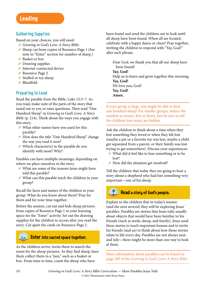## Gathering Supplies

Based on your choices, you will need:

- g *Growing in God's Love: A Story Bible*
- g Sheep cut from copies of Resource Page 1 (See note in "Enter" section for number of sheep.)
- Basket or box
- $\blacktriangleright$  Drawing supplies
- Internet-connected device
- Resource Page 2
- $\blacktriangleright$  Stuffed or toy sheep
- g Blindfold

## Preparing to Lead

Read the parable from the Bible, Luke 15:3–7. As you read, make note of the parts of the story that stand out to you or raise questions. Then read "One Hundred Sheep" in *Growing in God's Love: A Story Bible* (p. 214). Think about the ways you engage with this story.

- g What other names have you used for this parable?
- g How does the title "One Hundred Sheep" change the way you read it now?
- Which character(s) in the parable do you identify with most? Why?

Parables can have multiple meanings, depending on where we place ourselves in the story.

- g What are some of the reasons Jesus might have told this parable?
- g What can this parable teach the children in your group?

Recall the faces and names of the children in your group. What do you know about them? Pray for them and for your time together.

Before the session, cut out and hide sheep pictures from copies of Resource Page 1 in your learning space for the "Enter" activity. Set out the drawing supplies for the children to access after you read the story. Cut apart the cards on Resource Page 2.

## $\sim$   $\sim$   $\blacksquare$  Enter into sacred space together.

As the children arrive, invite them to search the room for the sheep pictures. As they find sheep, have them collect them in a "pen," such as a basket or box. From time to time, count the sheep who have

been found and send the children out to look until all sheep have been found. When all are located, celebrate with a happy dance or cheer! Pray together, inviting the children to respond with "Yay, God!" after each phrase.

Dear God, we thank you that all our sheep have been found! **Yay, God!** Help us to learn and grow together this morning. **Yay, God!** We love you, God! **Yay, God! Amen.**

If your group is large, you might be able to find one hundred sheep! For smaller groups, reduce the number to twenty-five or thirty. Just be sure to tell the children how many are hidden.

Ask the children to think about a time when they lost something they loved *or* when they felt lost (maybe a pet or a favorite toy was lost, maybe a child got separated from a parent, or their family was lost trying to get somewhere). Discuss your experiences:

- $\blacktriangleright$  What did it feel like to lose something or to be lost?
- $\blacktriangleright$  How did the situation get resolved?

Tell the children that today they are going to hear a story about a shepherd who had lost something very important—one of his sheep.



## Read a story of God's people.

Explain to the children that in today's session (and the next several) they will be exploring Jesus' parables. Parables are stories that Jesus told, usually about objects that would have been familiar to his friends (such as seeds, sheep, and family). Jesus used these stories to teach important lessons and to invite his friends (and us) to think about how those stories relate to life every day. Parables are not always neat and tidy—there might be more than one way to look at them.

More information about parables can be found on page 209 of the *Growing in God's Love: A Story Bible*.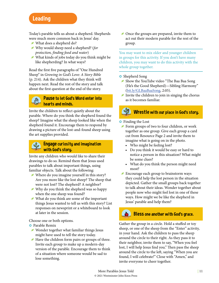## Leading

Today's parable tells us about a shepherd. Shepherds were much more common back in Jesus' day.

- g What does a shepherd do?
- g Why would sheep need a shepherd? (*for protection, finding food and water*)
- $\blacktriangleright$  What kinds of jobs today do you think might be like shepherding? In what ways?

Read the first five paragraphs of "One Hundred Sheep" in *Growing in God's Love: A Story Bible* (p. 214). Ask the children what they think will happen next. Read the rest of the story and talk about the first question at the end of the story.

## **ADD** Pause to let God's Word enter into hearts and minds.

Invite the children to reflect quietly about the parable. Where do you think the shepherd found the sheep? Imagine what the sheep looked like when the shepherd found it. Encourage them to respond by drawing a picture of the lost-and-found sheep using the art supplies provided.

## Engage curiosity and imagination with God's storu.

Invite any children who would like to share their drawings to do so. Remind them that Jesus used parables to talk about important things, using familiar objects. Talk about the following:

- g Where do you imagine yourself in this story? Are you more like the lost sheep? The sheep that were not lost? The shepherd? A neighbor?
- Why do you think the shepherd was so happy when the one sheep was found?
- $\blacktriangleright$  What do you think are some of the important things Jesus wanted to tell us with this story? List responses on newsprint or a whiteboard to look at later in the session.

Choose one or both options.

- **o** Parable Remix
- $\blacktriangleright$  Wonder together what familiar things Jesus might have used to tell the story today.
- $\blacktriangleright$  Have the children form pairs or groups of three. Invite each group to make up a modern-day version of the parable. Encourage them to think of a situation where someone would be sad to lose something.

 $\triangle$  Once the groups are prepared, invite them to act out their modern parable for the rest of the group.

You may want to mix older and younger children in groups for this activity. If you don't have many children, you may want to do this activity with the whole group together.

## **o** Shepherd Song

- g Show the YouTube video "The Baa Baa Song (He's the Good Shepherd)—Sibling Harmony" ([bit.ly/GLBaaBaaSong,](https://www.youtube.com/watch?v=PGPQX3vQtU8) 2:05).
- Invite the children to join in singing the chorus as it becomes familiar.

# Wrestle with our place in God's story.

#### **o** Finding the Lost

- g Form groups of two to four children, or work together as one group. Give each group a card cut from Resource Page 2 and invite them to imagine what is going on in the photo.
	- Who might be feeling lost?
	- Do you think it would be easy or hard to notice a person in this situation? What might be some clues?
	- What do you think the person might need most?
- $\blacktriangleright$  Encourage each group to brainstorm ways they could help the lost person in the situation depicted. Gather the small groups back together to talk about their ideas. Wonder together about people now who might feel lost in one of these ways. How might we be like the shepherd in Jesus' parable and help them?

## Bless one another with God's grace.

Gather the group in a circle. Hold a stuffed or toy sheep, or one of the sheep from the "Enter" activity, in your hand. Ask the children to pass the sheep around the circle to their right. As they pass it to their neighbor, invite them to say, "When you feel lost, I will help Jesus find you." Then pass the sheep around the circle to the left, saying "When you are found, I will celebrate!" Close with "Amen," and invite everyone to cheer together.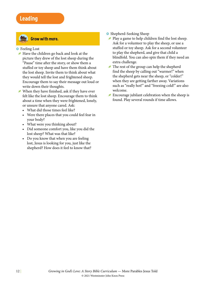## Leading



## Grow with more.

#### **o** Feeling Lost

- $\blacktriangleright$  Have the children go back and look at the picture they drew of the lost sheep during the "Pause" time after the story, or show them a stuffed or toy sheep and have them think about the lost sheep. Invite them to think about what they would tell the lost and frightened sheep. Encourage them to say their message out loud or write down their thoughts.
- When they have finished, ask if they have ever felt like the lost sheep. Encourage them to think about a time when they were frightened, lonely, or unsure that anyone cared. Ask:
	- What did those times feel like?
	- Were there places that you could feel fear in your body?
	- What were you thinking about?
	- Did someone comfort you, like you did the lost sheep? What was that like?
	- Do you know that when you are feeling lost, Jesus is looking for you, just like the shepherd? How does it feel to know that?
- **o** Shepherd-Seeking Sheep
- $\blacktriangleright$  Play a game to help children find the lost sheep. Ask for a volunteer to play the sheep, or use a stuffed or toy sheep. Ask for a second volunteer to play the shepherd, and give that child a blindfold. You can also spin them if they need an extra challenge.
- $\blacktriangleright$  The rest of the group can help the shepherd find the sheep by calling out "warmer!" when the shepherd gets near the sheep, or "colder!" when they are getting farther away. Variations such as "really hot!" and "freezing cold!" are also welcome.
- $\blacktriangleright$  Encourage jubilant celebration when the sheep is found. Play several rounds if time allows.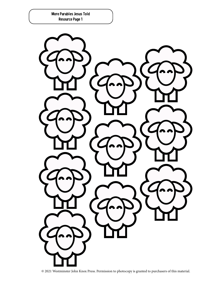